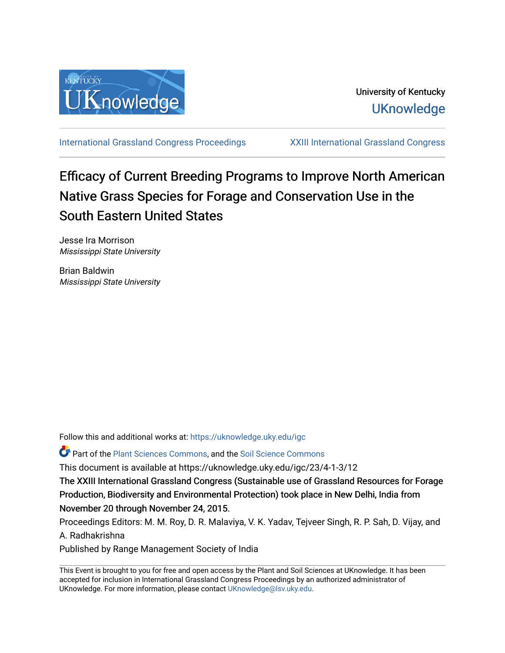

[International Grassland Congress Proceedings](https://uknowledge.uky.edu/igc) [XXIII International Grassland Congress](https://uknowledge.uky.edu/igc/23) 

# Efficacy of Current Breeding Programs to Improve North American Native Grass Species for Forage and Conservation Use in the South Eastern United States

Jesse Ira Morrison Mississippi State University

Brian Baldwin Mississippi State University

Follow this and additional works at: [https://uknowledge.uky.edu/igc](https://uknowledge.uky.edu/igc?utm_source=uknowledge.uky.edu%2Figc%2F23%2F4-1-3%2F12&utm_medium=PDF&utm_campaign=PDFCoverPages) 

Part of the [Plant Sciences Commons](http://network.bepress.com/hgg/discipline/102?utm_source=uknowledge.uky.edu%2Figc%2F23%2F4-1-3%2F12&utm_medium=PDF&utm_campaign=PDFCoverPages), and the [Soil Science Commons](http://network.bepress.com/hgg/discipline/163?utm_source=uknowledge.uky.edu%2Figc%2F23%2F4-1-3%2F12&utm_medium=PDF&utm_campaign=PDFCoverPages) 

This document is available at https://uknowledge.uky.edu/igc/23/4-1-3/12

The XXIII International Grassland Congress (Sustainable use of Grassland Resources for Forage Production, Biodiversity and Environmental Protection) took place in New Delhi, India from November 20 through November 24, 2015.

Proceedings Editors: M. M. Roy, D. R. Malaviya, V. K. Yadav, Tejveer Singh, R. P. Sah, D. Vijay, and A. Radhakrishna

Published by Range Management Society of India

This Event is brought to you for free and open access by the Plant and Soil Sciences at UKnowledge. It has been accepted for inclusion in International Grassland Congress Proceedings by an authorized administrator of UKnowledge. For more information, please contact [UKnowledge@lsv.uky.edu](mailto:UKnowledge@lsv.uky.edu).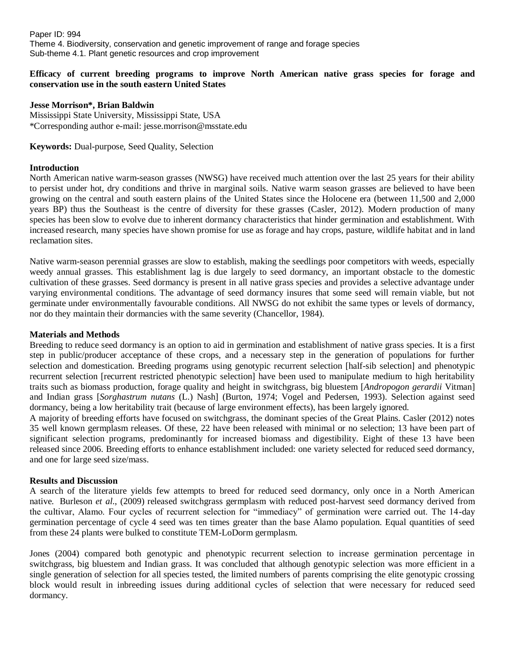Paper ID: 994 Theme 4. Biodiversity, conservation and genetic improvement of range and forage species Sub-theme 4.1. Plant genetic resources and crop improvement

# **Efficacy of current breeding programs to improve North American native grass species for forage and conservation use in the south eastern United States**

## **Jesse Morrison\*, Brian Baldwin**

Mississippi State University, Mississippi State, USA \*Corresponding author e-mail: [jesse.morrison@msstate.edu](mailto:jesse.morrison@msstate.edu)

**Keywords:** Dual-purpose, Seed Quality, Selection

## **Introduction**

North American native warm-season grasses (NWSG) have received much attention over the last 25 years for their ability to persist under hot, dry conditions and thrive in marginal soils. Native warm season grasses are believed to have been growing on the central and south eastern plains of the United States since the Holocene era (between 11,500 and 2,000 years BP) thus the Southeast is the centre of diversity for these grasses (Casler, 2012). Modern production of many species has been slow to evolve due to inherent dormancy characteristics that hinder germination and establishment. With increased research, many species have shown promise for use as forage and hay crops, pasture, wildlife habitat and in land reclamation sites.

Native warm-season perennial grasses are slow to establish, making the seedlings poor competitors with weeds, especially weedy annual grasses. This establishment lag is due largely to seed dormancy, an important obstacle to the domestic cultivation of these grasses. Seed dormancy is present in all native grass species and provides a selective advantage under varying environmental conditions. The advantage of seed dormancy insures that some seed will remain viable, but not germinate under environmentally favourable conditions. All NWSG do not exhibit the same types or levels of dormancy, nor do they maintain their dormancies with the same severity (Chancellor, 1984).

#### **Materials and Methods**

Breeding to reduce seed dormancy is an option to aid in germination and establishment of native grass species. It is a first step in public/producer acceptance of these crops, and a necessary step in the generation of populations for further selection and domestication. Breeding programs using genotypic recurrent selection [half-sib selection] and phenotypic recurrent selection [recurrent restricted phenotypic selection] have been used to manipulate medium to high heritability traits such as biomass production, forage quality and height in switchgrass, big bluestem [*Andropogon gerardii* Vitman] and Indian grass [*Sorghastrum nutans* (L.) Nash] (Burton, 1974; Vogel and Pedersen, 1993). Selection against seed dormancy, being a low heritability trait (because of large environment effects), has been largely ignored.

A majority of breeding efforts have focused on switchgrass, the dominant species of the Great Plains. Casler (2012) notes 35 well known germplasm releases. Of these, 22 have been released with minimal or no selection; 13 have been part of significant selection programs, predominantly for increased biomass and digestibility. Eight of these 13 have been released since 2006. Breeding efforts to enhance establishment included: one variety selected for reduced seed dormancy, and one for large seed size/mass.

# **Results and Discussion**

A search of the literature yields few attempts to breed for reduced seed dormancy, only once in a North American native. Burleson *et al*., (2009) released switchgrass germplasm with reduced post-harvest seed dormancy derived from the cultivar, Alamo. Four cycles of recurrent selection for "immediacy" of germination were carried out. The 14-day germination percentage of cycle 4 seed was ten times greater than the base Alamo population. Equal quantities of seed from these 24 plants were bulked to constitute TEM-LoDorm germplasm.

Jones (2004) compared both genotypic and phenotypic recurrent selection to increase germination percentage in switchgrass, big bluestem and Indian grass. It was concluded that although genotypic selection was more efficient in a single generation of selection for all species tested, the limited numbers of parents comprising the elite genotypic crossing block would result in inbreeding issues during additional cycles of selection that were necessary for reduced seed dormancy.